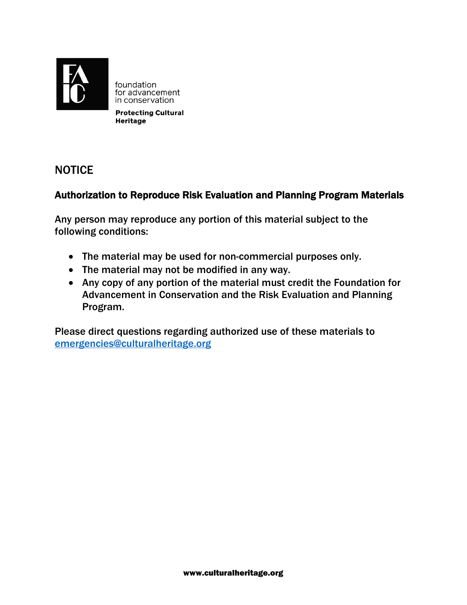

foundation for advancement in conservation

**Protecting Cultural Heritage** 

## **NOTICE**

### Authorization to Reproduce Risk Evaluation and Planning Program Materials

Any person may reproduce any portion of this material subject to the following conditions:

- The material may be used for non-commercial purposes only.
- The material may not be modified in any way.
- Any copy of any portion of the material must credit the Foundation for Advancement in Conservation and the Risk Evaluation and Planning Program.

Please direct questions regarding authorized use of these materials to emergencies@culturalheritage.org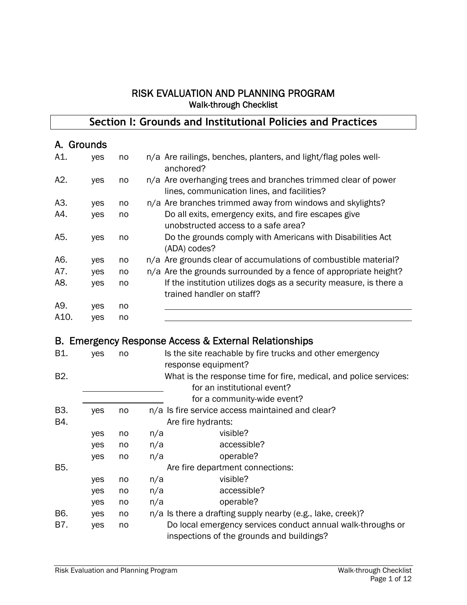#### RISK EVALUATION AND PLANNING PROGRAM Walk-through Checklist

#### **Section I: Grounds and Institutional Policies and Practices**

#### A. Grounds

| A1.  | yes | no | n/a Are railings, benches, planters, and light/flag poles well-<br>anchored?                                 |
|------|-----|----|--------------------------------------------------------------------------------------------------------------|
| A2.  | yes | no | n/a Are overhanging trees and branches trimmed clear of power<br>lines, communication lines, and facilities? |
| A3.  | yes | no | n/a Are branches trimmed away from windows and skylights?                                                    |
| A4.  | yes | no | Do all exits, emergency exits, and fire escapes give<br>unobstructed access to a safe area?                  |
| A5.  | yes | no | Do the grounds comply with Americans with Disabilities Act<br>(ADA) codes?                                   |
| A6.  | yes | no | n/a Are grounds clear of accumulations of combustible material?                                              |
| A7.  | yes | no | n/a Are the grounds surrounded by a fence of appropriate height?                                             |
| A8.  | yes | no | If the institution utilizes dogs as a security measure, is there a<br>trained handler on staff?              |
| A9.  | yes | no |                                                                                                              |
| A10. | ves | no |                                                                                                              |

#### B. Emergency Response Access & External Relationships

| B1.              | yes | no |     | Is the site reachable by fire trucks and other emergency<br>response equipment? |
|------------------|-----|----|-----|---------------------------------------------------------------------------------|
|                  |     |    |     |                                                                                 |
| B <sub>2</sub> . |     |    |     | What is the response time for fire, medical, and police services:               |
|                  |     |    |     | for an institutional event?                                                     |
|                  |     |    |     | for a community-wide event?                                                     |
| B3.              | yes | no |     | n/a Is fire service access maintained and clear?                                |
| B4.              |     |    |     | Are fire hydrants:                                                              |
|                  | yes | no | n/a | visible?                                                                        |
|                  | yes | no | n/a | accessible?                                                                     |
|                  | yes | no | n/a | operable?                                                                       |
| B5.              |     |    |     | Are fire department connections:                                                |
|                  | yes | no | n/a | visible?                                                                        |
|                  | yes | no | n/a | accessible?                                                                     |
|                  | yes | no | n/a | operable?                                                                       |
| B6.              | yes | no |     | n/a Is there a drafting supply nearby (e.g., lake, creek)?                      |
| B7.              | yes | no |     | Do local emergency services conduct annual walk-throughs or                     |
|                  |     |    |     | inspections of the grounds and buildings?                                       |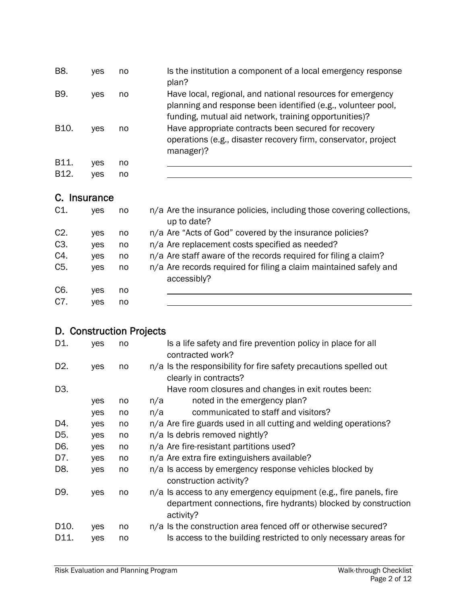| B8.               | <b>ves</b> | no | Is the institution a component of a local emergency response<br>plan?                                                                                                               |
|-------------------|------------|----|-------------------------------------------------------------------------------------------------------------------------------------------------------------------------------------|
| B9.               | <b>ves</b> | no | Have local, regional, and national resources for emergency<br>planning and response been identified (e.g., volunteer pool,<br>funding, mutual aid network, training opportunities)? |
| B10.              | ves        | no | Have appropriate contracts been secured for recovery<br>operations (e.g., disaster recovery firm, conservator, project<br>manager)?                                                 |
| B11.              | ves        | no |                                                                                                                                                                                     |
| B <sub>12</sub> . | ves        | no |                                                                                                                                                                                     |

#### C. Insurance

| $C1$ .           | <b>ves</b> | no | n/a Are the insurance policies, including those covering collections,<br>up to date? |
|------------------|------------|----|--------------------------------------------------------------------------------------|
| $C2$ .           | <b>ves</b> | no | n/a Are "Acts of God" covered by the insurance policies?                             |
| C <sub>3</sub> . | <b>ves</b> | no | n/a Are replacement costs specified as needed?                                       |
| C4.              | <b>ves</b> | no | n/a Are staff aware of the records required for filing a claim?                      |
| C <sub>5</sub> . | <b>ves</b> | no | n/a Are records required for filing a claim maintained safely and<br>accessibly?     |
| C6.              | <b>ves</b> | no |                                                                                      |
| C7.              | ves        | no |                                                                                      |

# D. Construction Projects

| D1.              | yes | no | Is a life safety and fire prevention policy in place for all<br>contracted work?                                                                 |
|------------------|-----|----|--------------------------------------------------------------------------------------------------------------------------------------------------|
| D <sub>2</sub> . | yes | no | n/a Is the responsibility for fire safety precautions spelled out<br>clearly in contracts?                                                       |
| D <sub>3</sub> . |     |    | Have room closures and changes in exit routes been:                                                                                              |
|                  | yes | no | noted in the emergency plan?<br>n/a                                                                                                              |
|                  | yes | no | communicated to staff and visitors?<br>n/a                                                                                                       |
| D4.              | yes | no | n/a Are fire guards used in all cutting and welding operations?                                                                                  |
| D5.              | yes | no | n/a Is debris removed nightly?                                                                                                                   |
| D6.              | yes | no | n/a Are fire-resistant partitions used?                                                                                                          |
| D7.              | yes | no | n/a Are extra fire extinguishers available?                                                                                                      |
| D8.              | yes | no | n/a Is access by emergency response vehicles blocked by<br>construction activity?                                                                |
| D9.              | yes | no | n/a Is access to any emergency equipment (e.g., fire panels, fire<br>department connections, fire hydrants) blocked by construction<br>activity? |
| D10.             | yes | no | n/a Is the construction area fenced off or otherwise secured?                                                                                    |
| D11.             | yes | no | Is access to the building restricted to only necessary areas for                                                                                 |
|                  |     |    |                                                                                                                                                  |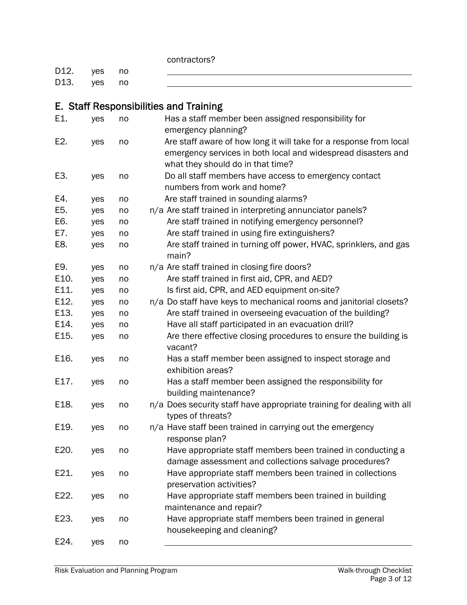contractors?

| D12. yes no |  |  |
|-------------|--|--|
| D13. yes no |  |  |

# E. Staff Responsibilities and Training

| E1.  | yes | no | Has a staff member been assigned responsibility for<br>emergency planning?                                                                                               |
|------|-----|----|--------------------------------------------------------------------------------------------------------------------------------------------------------------------------|
| E2.  | yes | no | Are staff aware of how long it will take for a response from local<br>emergency services in both local and widespread disasters and<br>what they should do in that time? |
| E3.  | yes | no | Do all staff members have access to emergency contact<br>numbers from work and home?                                                                                     |
| E4.  | yes | no | Are staff trained in sounding alarms?                                                                                                                                    |
| E5.  | yes | no | n/a Are staff trained in interpreting annunciator panels?                                                                                                                |
| E6.  | yes | no | Are staff trained in notifying emergency personnel?                                                                                                                      |
| E7.  | yes | no | Are staff trained in using fire extinguishers?                                                                                                                           |
| E8.  | yes | no | Are staff trained in turning off power, HVAC, sprinklers, and gas<br>main?                                                                                               |
| E9.  | yes | no | n/a Are staff trained in closing fire doors?                                                                                                                             |
| E10. | yes | no | Are staff trained in first aid, CPR, and AED?                                                                                                                            |
| E11. | yes | no | Is first aid, CPR, and AED equipment on-site?                                                                                                                            |
| E12. | yes | no | n/a Do staff have keys to mechanical rooms and janitorial closets?                                                                                                       |
| E13. | yes | no | Are staff trained in overseeing evacuation of the building?                                                                                                              |
| E14. | yes | no | Have all staff participated in an evacuation drill?                                                                                                                      |
| E15. | yes | no | Are there effective closing procedures to ensure the building is<br>vacant?                                                                                              |
| E16. | yes | no | Has a staff member been assigned to inspect storage and<br>exhibition areas?                                                                                             |
| E17. | yes | no | Has a staff member been assigned the responsibility for<br>building maintenance?                                                                                         |
| E18. | yes | no | n/a Does security staff have appropriate training for dealing with all<br>types of threats?                                                                              |
| E19. | yes | no | n/a Have staff been trained in carrying out the emergency<br>response plan?                                                                                              |
| E20. | yes | no | Have appropriate staff members been trained in conducting a<br>damage assessment and collections salvage procedures?                                                     |
| E21. | yes | no | Have appropriate staff members been trained in collections<br>preservation activities?                                                                                   |
| E22. | yes | no | Have appropriate staff members been trained in building<br>maintenance and repair?                                                                                       |
| E23. | yes | no | Have appropriate staff members been trained in general<br>housekeeping and cleaning?                                                                                     |
| E24. | yes | no |                                                                                                                                                                          |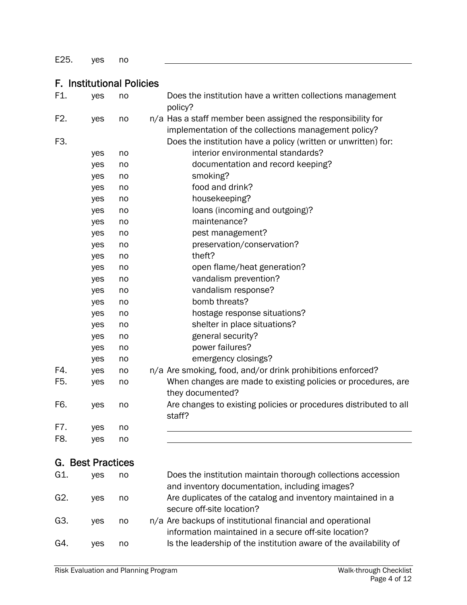E25. yes no

#### F. Institutional Policies

| F1.              | yes                   | no | Does the institution have a written collections management<br>policy?                                               |
|------------------|-----------------------|----|---------------------------------------------------------------------------------------------------------------------|
| F <sub>2</sub> . | yes                   | no | n/a Has a staff member been assigned the responsibility for<br>implementation of the collections management policy? |
| F3.              |                       |    | Does the institution have a policy (written or unwritten) for:                                                      |
|                  | yes                   | no | interior environmental standards?                                                                                   |
|                  | yes                   | no | documentation and record keeping?                                                                                   |
|                  | yes                   | no | smoking?                                                                                                            |
|                  | yes                   | no | food and drink?                                                                                                     |
|                  | yes                   | no | housekeeping?                                                                                                       |
|                  | yes                   | no | loans (incoming and outgoing)?                                                                                      |
|                  | yes                   | no | maintenance?                                                                                                        |
|                  | yes                   | no | pest management?                                                                                                    |
|                  | yes                   | no | preservation/conservation?                                                                                          |
|                  | yes                   | no | theft?                                                                                                              |
|                  | yes                   | no | open flame/heat generation?                                                                                         |
|                  | yes                   | no | vandalism prevention?                                                                                               |
|                  | yes                   | no | vandalism response?                                                                                                 |
|                  | yes                   | no | bomb threats?                                                                                                       |
|                  | yes                   | no | hostage response situations?                                                                                        |
|                  | yes                   | no | shelter in place situations?                                                                                        |
|                  | yes                   | no | general security?                                                                                                   |
|                  | yes                   | no | power failures?                                                                                                     |
|                  | yes                   | no | emergency closings?                                                                                                 |
| F4.              | yes                   | no | n/a Are smoking, food, and/or drink prohibitions enforced?                                                          |
| F5.              | yes                   | no | When changes are made to existing policies or procedures, are<br>they documented?                                   |
| F6.              | yes                   | no | Are changes to existing policies or procedures distributed to all<br>staff?                                         |
| F7.              | yes                   | no |                                                                                                                     |
| F8.              | yes                   | no |                                                                                                                     |
| G.               | <b>Best Practices</b> |    |                                                                                                                     |

#### G1. yes no Does the institution maintain thorough collections accession and inventory documentation, including images? G2. yes no Are duplicates of the catalog and inventory maintained in a secure off-site location? G3. yes no n/a Are backups of institutional financial and operational information maintained in a secure off-site location? G4. yes no Is the leadership of the institution aware of the availability of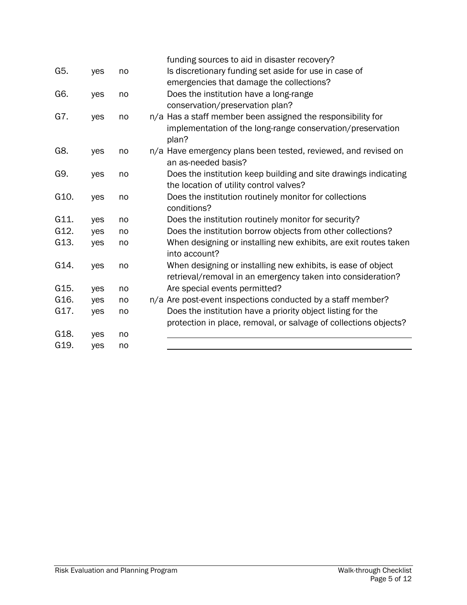|      |     |    | funding sources to aid in disaster recovery?                                      |
|------|-----|----|-----------------------------------------------------------------------------------|
| G5.  | yes | no | Is discretionary funding set aside for use in case of                             |
|      |     |    | emergencies that damage the collections?                                          |
| G6.  | yes | no | Does the institution have a long-range                                            |
|      |     |    | conservation/preservation plan?                                                   |
| G7.  | yes | no | n/a Has a staff member been assigned the responsibility for                       |
|      |     |    | implementation of the long-range conservation/preservation<br>plan?               |
| G8.  | yes | no | n/a Have emergency plans been tested, reviewed, and revised on                    |
|      |     |    | an as-needed basis?                                                               |
| G9.  | yes | no | Does the institution keep building and site drawings indicating                   |
|      |     |    | the location of utility control valves?                                           |
| G10. | yes | no | Does the institution routinely monitor for collections<br>conditions?             |
| G11. | yes | no | Does the institution routinely monitor for security?                              |
| G12. | yes | no | Does the institution borrow objects from other collections?                       |
| G13. | yes | no | When designing or installing new exhibits, are exit routes taken<br>into account? |
| G14. | yes | no | When designing or installing new exhibits, is ease of object                      |
|      |     |    | retrieval/removal in an emergency taken into consideration?                       |
| G15. | yes | no | Are special events permitted?                                                     |
| G16. | yes | no | n/a Are post-event inspections conducted by a staff member?                       |
| G17. | yes | no | Does the institution have a priority object listing for the                       |
|      |     |    | protection in place, removal, or salvage of collections objects?                  |
| G18. | yes | no |                                                                                   |
| G19. | yes | no |                                                                                   |
|      |     |    |                                                                                   |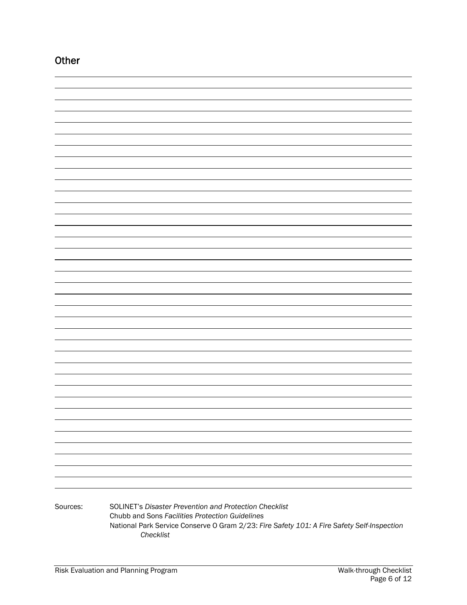| Other    |                                                                                                                                                                                                                      |
|----------|----------------------------------------------------------------------------------------------------------------------------------------------------------------------------------------------------------------------|
|          |                                                                                                                                                                                                                      |
|          |                                                                                                                                                                                                                      |
|          |                                                                                                                                                                                                                      |
|          |                                                                                                                                                                                                                      |
|          |                                                                                                                                                                                                                      |
|          |                                                                                                                                                                                                                      |
|          |                                                                                                                                                                                                                      |
|          |                                                                                                                                                                                                                      |
|          |                                                                                                                                                                                                                      |
|          |                                                                                                                                                                                                                      |
|          |                                                                                                                                                                                                                      |
|          |                                                                                                                                                                                                                      |
|          |                                                                                                                                                                                                                      |
|          |                                                                                                                                                                                                                      |
|          |                                                                                                                                                                                                                      |
|          |                                                                                                                                                                                                                      |
|          |                                                                                                                                                                                                                      |
|          |                                                                                                                                                                                                                      |
|          |                                                                                                                                                                                                                      |
|          |                                                                                                                                                                                                                      |
|          |                                                                                                                                                                                                                      |
|          |                                                                                                                                                                                                                      |
|          |                                                                                                                                                                                                                      |
|          |                                                                                                                                                                                                                      |
|          |                                                                                                                                                                                                                      |
|          |                                                                                                                                                                                                                      |
|          |                                                                                                                                                                                                                      |
|          |                                                                                                                                                                                                                      |
|          |                                                                                                                                                                                                                      |
|          |                                                                                                                                                                                                                      |
|          |                                                                                                                                                                                                                      |
|          |                                                                                                                                                                                                                      |
|          |                                                                                                                                                                                                                      |
|          |                                                                                                                                                                                                                      |
|          |                                                                                                                                                                                                                      |
|          |                                                                                                                                                                                                                      |
| Sources: | SOLINET's Disaster Prevention and Protection Checklist<br>Chubb and Sons Facilities Protection Guidelines<br>National Park Service Conserve O Gram 2/23: Fire Safety 101: A Fire Safety Self-Inspection<br>Checklist |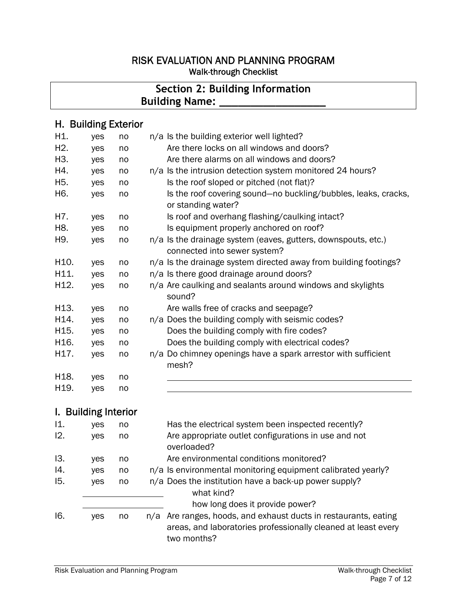#### RISK EVALUATION AND PLANNING PROGRAM Walk-through Checklist

# **Section 2: Building Information Building Name: \_\_**

## H. Building Exterior

| H1.              | yes | no | n/a Is the building exterior well lighted?                                                    |
|------------------|-----|----|-----------------------------------------------------------------------------------------------|
| H <sub>2</sub> . | yes | no | Are there locks on all windows and doors?                                                     |
| H3.              | yes | no | Are there alarms on all windows and doors?                                                    |
| H4.              | yes | no | n/a Is the intrusion detection system monitored 24 hours?                                     |
| H <sub>5</sub> . | yes | no | Is the roof sloped or pitched (not flat)?                                                     |
| H6.              | yes | no | Is the roof covering sound-no buckling/bubbles, leaks, cracks,<br>or standing water?          |
| H7.              | yes | no | Is roof and overhang flashing/caulking intact?                                                |
| H8.              | yes | no | Is equipment properly anchored on roof?                                                       |
| H9.              | yes | no | n/a Is the drainage system (eaves, gutters, downspouts, etc.)<br>connected into sewer system? |
| H10.             | yes | no | n/a Is the drainage system directed away from building footings?                              |
| H11.             | yes | no | n/a Is there good drainage around doors?                                                      |
| H12.             | yes | no | n/a Are caulking and sealants around windows and skylights<br>sound?                          |
| H13.             | yes | no | Are walls free of cracks and seepage?                                                         |
| H14.             | yes | no | n/a Does the building comply with seismic codes?                                              |
| H15.             | yes | no | Does the building comply with fire codes?                                                     |
| H16.             | yes | no | Does the building comply with electrical codes?                                               |
| H17.             | yes | no | n/a Do chimney openings have a spark arrestor with sufficient<br>mesh?                        |
| H18.             | yes | no |                                                                                               |
| H19.             | yes | no |                                                                                               |

## I. Building Interior

| 11. | yes        | no | Has the electrical system been inspected recently?                                                                                              |
|-----|------------|----|-------------------------------------------------------------------------------------------------------------------------------------------------|
| 12. | yes        | no | Are appropriate outlet configurations in use and not<br>overloaded?                                                                             |
| 13. | yes        | no | Are environmental conditions monitored?                                                                                                         |
| 14. | yes        | no | n/a Is environmental monitoring equipment calibrated yearly?                                                                                    |
| 15. | <b>ves</b> | no | n/a Does the institution have a back-up power supply?<br>what kind?                                                                             |
|     |            |    | how long does it provide power?                                                                                                                 |
| 16. | <b>ves</b> | no | n/a Are ranges, hoods, and exhaust ducts in restaurants, eating<br>areas, and laboratories professionally cleaned at least every<br>two months? |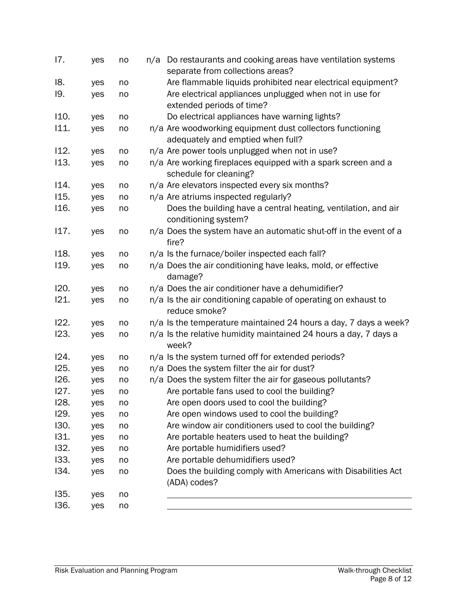| 17.  | yes | no | n/a Do restaurants and cooking areas have ventilation systems<br>separate from collections areas? |
|------|-----|----|---------------------------------------------------------------------------------------------------|
| 18.  | yes | no | Are flammable liquids prohibited near electrical equipment?                                       |
| 19.  | yes | no | Are electrical appliances unplugged when not in use for                                           |
|      |     |    | extended periods of time?                                                                         |
| 110. |     | no | Do electrical appliances have warning lights?                                                     |
| 111. | yes |    |                                                                                                   |
|      | yes | no | n/a Are woodworking equipment dust collectors functioning                                         |
|      |     |    | adequately and emptied when full?                                                                 |
| 112. | yes | no | n/a Are power tools unplugged when not in use?                                                    |
| 113. | yes | no | n/a Are working fireplaces equipped with a spark screen and a<br>schedule for cleaning?           |
| 114. | yes | no | n/a Are elevators inspected every six months?                                                     |
| 115. | yes | no | n/a Are atriums inspected regularly?                                                              |
| 116. | yes | no | Does the building have a central heating, ventilation, and air<br>conditioning system?            |
| 117. | yes | no | n/a Does the system have an automatic shut-off in the event of a<br>fire?                         |
| 118. | yes | no | n/a Is the furnace/boiler inspected each fall?                                                    |
| 119. | yes | no | n/a Does the air conditioning have leaks, mold, or effective                                      |
|      |     |    | damage?                                                                                           |
| 120. | yes | no | n/a Does the air conditioner have a dehumidifier?                                                 |
| 121. | yes | no | n/a Is the air conditioning capable of operating on exhaust to<br>reduce smoke?                   |
| 122. | yes | no | n/a Is the temperature maintained 24 hours a day, 7 days a week?                                  |
| 123. | yes | no | n/a Is the relative humidity maintained 24 hours a day, 7 days a<br>week?                         |
| 124. | yes | no | n/a Is the system turned off for extended periods?                                                |
| 125. | yes | no | n/a Does the system filter the air for dust?                                                      |
| 126. | yes | no | n/a Does the system filter the air for gaseous pollutants?                                        |
| 127. | yes | no | Are portable fans used to cool the building?                                                      |
| 128. | yes | no | Are open doors used to cool the building?                                                         |
| 129. | yes | no | Are open windows used to cool the building?                                                       |
| 130. | yes | no | Are window air conditioners used to cool the building?                                            |
| 131. | yes | no | Are portable heaters used to heat the building?                                                   |
| 132. | yes | no | Are portable humidifiers used?                                                                    |
| 133. | yes | no | Are portable dehumidifiers used?                                                                  |
| I34. | yes | no | Does the building comply with Americans with Disabilities Act                                     |
|      |     |    | (ADA) codes?                                                                                      |
| 135. | yes | no |                                                                                                   |
| 136. | yes | no |                                                                                                   |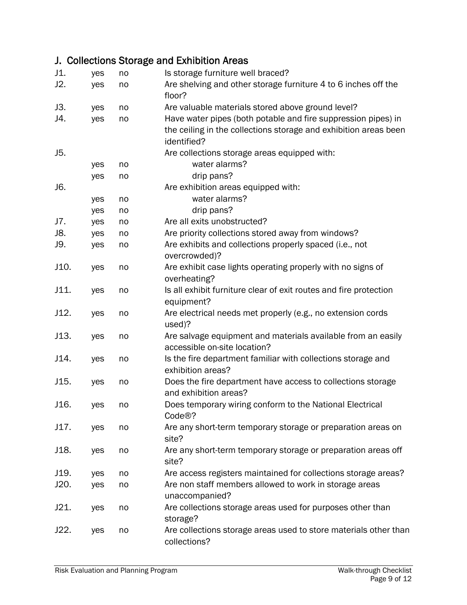# J. Collections Storage and Exhibition Areas

| J1.  | yes | no | Is storage furniture well braced?                                 |
|------|-----|----|-------------------------------------------------------------------|
| J2.  | yes | no | Are shelving and other storage furniture 4 to 6 inches off the    |
|      |     |    | floor?                                                            |
| J3.  | yes | no | Are valuable materials stored above ground level?                 |
| J4.  | yes | no | Have water pipes (both potable and fire suppression pipes) in     |
|      |     |    | the ceiling in the collections storage and exhibition areas been  |
|      |     |    | identified?                                                       |
| J5.  |     |    | Are collections storage areas equipped with:                      |
|      | yes | no | water alarms?                                                     |
|      | yes | no | drip pans?                                                        |
| J6.  |     |    | Are exhibition areas equipped with:                               |
|      | yes | no | water alarms?                                                     |
|      | yes | no | drip pans?                                                        |
| J7.  | yes | no | Are all exits unobstructed?                                       |
| J8.  | yes | no | Are priority collections stored away from windows?                |
| J9.  | yes | no | Are exhibits and collections properly spaced (i.e., not           |
|      |     |    | overcrowded)?                                                     |
| J10. | yes | no | Are exhibit case lights operating properly with no signs of       |
|      |     |    | overheating?                                                      |
| J11. | yes | no | Is all exhibit furniture clear of exit routes and fire protection |
|      |     |    | equipment?                                                        |
| J12. | yes | no | Are electrical needs met properly (e.g., no extension cords       |
|      |     |    | used)?                                                            |
| J13. | yes | no | Are salvage equipment and materials available from an easily      |
|      |     |    | accessible on-site location?                                      |
| J14. | yes | no | Is the fire department familiar with collections storage and      |
|      |     |    | exhibition areas?                                                 |
| J15. | yes | no | Does the fire department have access to collections storage       |
|      |     |    | and exhibition areas?                                             |
| J16. | yes | no | Does temporary wiring conform to the National Electrical          |
|      |     |    | Code <sup>®?</sup>                                                |
| J17. | yes | no | Are any short-term temporary storage or preparation areas on      |
|      |     |    | site?                                                             |
| J18. | yes | no | Are any short-term temporary storage or preparation areas off     |
|      |     |    | site?                                                             |
| J19. | yes | no | Are access registers maintained for collections storage areas?    |
| J20. | yes | no | Are non staff members allowed to work in storage areas            |
|      |     |    | unaccompanied?                                                    |
| J21. | yes | no | Are collections storage areas used for purposes other than        |
|      |     |    | storage?                                                          |
| J22. | yes | no | Are collections storage areas used to store materials other than  |
|      |     |    | collections?                                                      |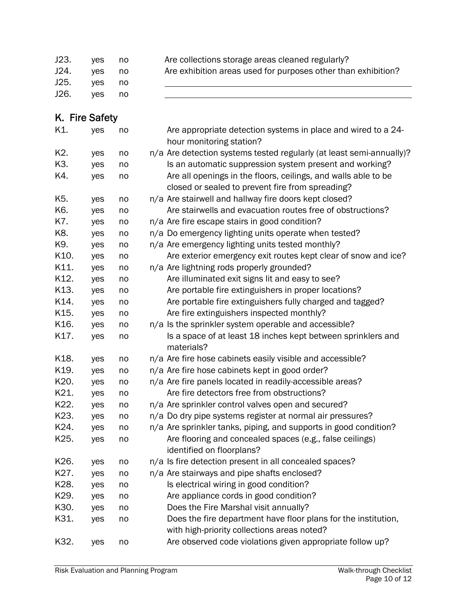| J23.           | yes | no | Are collections storage areas cleaned regularly?                     |
|----------------|-----|----|----------------------------------------------------------------------|
| J24.           | yes | no | Are exhibition areas used for purposes other than exhibition?        |
| J25.           | yes | no |                                                                      |
| J26.           | yes | no |                                                                      |
|                |     |    |                                                                      |
| K. Fire Safety |     |    |                                                                      |
| K1.            | yes | no | Are appropriate detection systems in place and wired to a 24-        |
|                |     |    | hour monitoring station?                                             |
| K2.            | yes | no | n/a Are detection systems tested regularly (at least semi-annually)? |
| K3.            | yes | no | Is an automatic suppression system present and working?              |
| K4.            | yes | no | Are all openings in the floors, ceilings, and walls able to be       |
|                |     |    | closed or sealed to prevent fire from spreading?                     |
| K5.            | yes | no | n/a Are stairwell and hallway fire doors kept closed?                |
| K6.            | yes | no | Are stairwells and evacuation routes free of obstructions?           |
| K7.            | yes | no | n/a Are fire escape stairs in good condition?                        |
| K8.            | yes | no | n/a Do emergency lighting units operate when tested?                 |
| K9.            | yes | no | n/a Are emergency lighting units tested monthly?                     |
| K10.           | yes | no | Are exterior emergency exit routes kept clear of snow and ice?       |
| K11.           | yes | no | n/a Are lightning rods properly grounded?                            |
| K12.           | yes | no | Are illuminated exit signs lit and easy to see?                      |
| K13.           | yes | no | Are portable fire extinguishers in proper locations?                 |
| K14.           | yes | no | Are portable fire extinguishers fully charged and tagged?            |
| K15.           | yes | no | Are fire extinguishers inspected monthly?                            |
| K16.           | yes | no | n/a Is the sprinkler system operable and accessible?                 |
| K17.           | yes | no | Is a space of at least 18 inches kept between sprinklers and         |
|                |     |    | materials?                                                           |
| K18.           | yes | no | n/a Are fire hose cabinets easily visible and accessible?            |
| K19.           | yes | no | n/a Are fire hose cabinets kept in good order?                       |
| K20.           | yes | no | n/a Are fire panels located in readily-accessible areas?             |
| K21.           | yes | no | Are fire detectors free from obstructions?                           |
| K22.           | yes | no | n/a Are sprinkler control valves open and secured?                   |
| K23.           | yes | no | n/a Do dry pipe systems register at normal air pressures?            |
| K24.           | yes | no | n/a Are sprinkler tanks, piping, and supports in good condition?     |
| K25.           | yes | no | Are flooring and concealed spaces (e.g., false ceilings)             |
|                |     |    | identified on floorplans?                                            |
| K26.           | yes | no | n/a Is fire detection present in all concealed spaces?               |
| K27.           | yes | no | n/a Are stairways and pipe shafts enclosed?                          |
| K28.           | yes | no | Is electrical wiring in good condition?                              |
| K29.           | yes | no | Are appliance cords in good condition?                               |
| K30.           | yes | no | Does the Fire Marshal visit annually?                                |
| K31.           | yes | no | Does the fire department have floor plans for the institution,       |
|                |     |    | with high-priority collections areas noted?                          |
| K32.           | yes | no | Are observed code violations given appropriate follow up?            |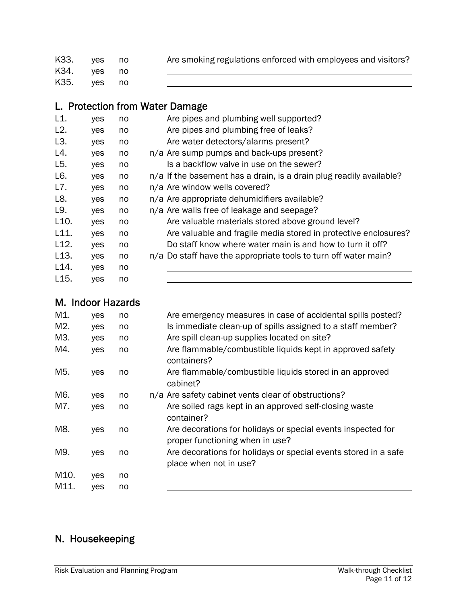| K33. | ves | no | Are smoking regulations enforced with employees and visitors? |
|------|-----|----|---------------------------------------------------------------|
| K34. | ves | no |                                                               |
| K35. | ves |    |                                                               |

# L. Protection from Water Damage

| L1.               | yes | no | Are pipes and plumbing well supported?                              |
|-------------------|-----|----|---------------------------------------------------------------------|
| L2.               | yes | no | Are pipes and plumbing free of leaks?                               |
| L <sub>3</sub> .  | yes | no | Are water detectors/alarms present?                                 |
| L4.               | yes | no | n/a Are sump pumps and back-ups present?                            |
| L5.               | yes | no | Is a backflow valve in use on the sewer?                            |
| L6.               | yes | no | n/a If the basement has a drain, is a drain plug readily available? |
| L7.               | yes | no | n/a Are window wells covered?                                       |
| L8.               | yes | no | n/a Are appropriate dehumidifiers available?                        |
| L9.               | yes | no | n/a Are walls free of leakage and seepage?                          |
| L <sub>10</sub> . | yes | no | Are valuable materials stored above ground level?                   |
| L11.              | yes | no | Are valuable and fragile media stored in protective enclosures?     |
| L12.              | yes | no | Do staff know where water main is and how to turn it off?           |
| L <sub>13</sub> . | yes | no | n/a Do staff have the appropriate tools to turn off water main?     |
| L <sub>14</sub> . | yes | no |                                                                     |
| L <sub>15</sub> . | yes | no |                                                                     |

|     | M. Indoor Hazards |     |     |
|-----|-------------------|-----|-----|
| M1. | ves               | no. | Are |

| M1.  | yes | no | Are emergency measures in case of accidental spills posted?                                     |
|------|-----|----|-------------------------------------------------------------------------------------------------|
| M2.  | yes | no | Is immediate clean-up of spills assigned to a staff member?                                     |
| M3.  | yes | no | Are spill clean-up supplies located on site?                                                    |
| M4.  | yes | no | Are flammable/combustible liquids kept in approved safety<br>containers?                        |
| M5.  | yes | no | Are flammable/combustible liquids stored in an approved<br>cabinet?                             |
| M6.  | yes | no | n/a Are safety cabinet vents clear of obstructions?                                             |
| M7.  | yes | no | Are soiled rags kept in an approved self-closing waste<br>container?                            |
| M8.  | yes | no | Are decorations for holidays or special events inspected for<br>proper functioning when in use? |
| M9.  | yes | no | Are decorations for holidays or special events stored in a safe<br>place when not in use?       |
| M10. | yes | no |                                                                                                 |
| M11. | ves | no |                                                                                                 |

# N. Housekeeping